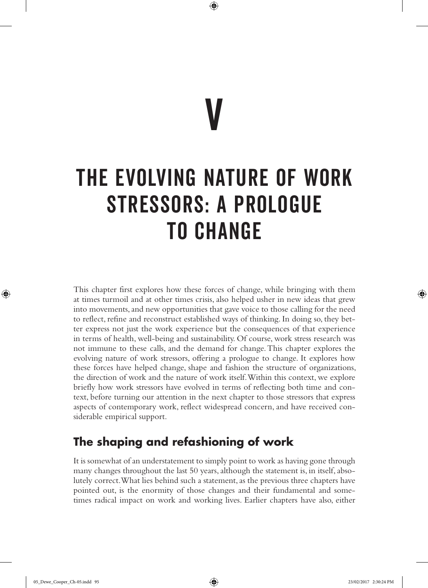# V The Evolving Nature of Work Stressors: A Prologue to Change

 $\bigoplus$ 

This chapter first explores how these forces of change, while bringing with them at times turmoil and at other times crisis, also helped usher in new ideas that grew into movements, and new opportunities that gave voice to those calling for the need to reflect, refine and reconstruct established ways of thinking. In doing so, they better express not just the work experience but the consequences of that experience in terms of health, well-being and sustainability. Of course, work stress research was not immune to these calls, and the demand for change. This chapter explores the evolving nature of work stressors, offering a prologue to change. It explores how these forces have helped change, shape and fashion the structure of organizations, the direction of work and the nature of work itself. Within this context, we explore briefly how work stressors have evolved in terms of reflecting both time and context, before turning our attention in the next chapter to those stressors that express aspects of contemporary work, reflect widespread concern, and have received considerable empirical support.

# **The shaping and refashioning of work**

It is somewhat of an understatement to simply point to work as having gone through many changes throughout the last 50 years, although the statement is, in itself, absolutely correct. What lies behind such a statement, as the previous three chapters have pointed out, is the enormity of those changes and their fundamental and sometimes radical impact on work and working lives. Earlier chapters have also, either

♠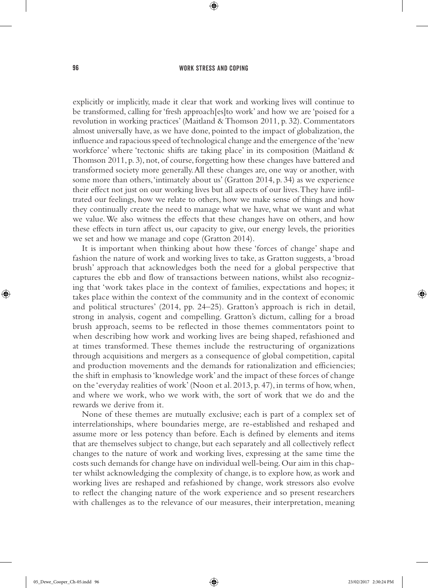⊕

explicitly or implicitly, made it clear that work and working lives will continue to be transformed, calling for 'fresh approach[es]to work' and how we are 'poised for a revolution in working practices' (Maitland & Thomson 2011, p. 32). Commentators almost universally have, as we have done, pointed to the impact of globalization, the influence and rapacious speed of technological change and the emergence of the 'new workforce' where 'tectonic shifts are taking place' in its composition (Maitland & Thomson 2011, p. 3), not, of course, forgetting how these changes have battered and transformed society more generally. All these changes are, one way or another, with some more than others, 'intimately about us' (Gratton 2014, p. 34) as we experience their effect not just on our working lives but all aspects of our lives. They have infiltrated our feelings, how we relate to others, how we make sense of things and how they continually create the need to manage what we have, what we want and what we value. We also witness the effects that these changes have on others, and how these effects in turn affect us, our capacity to give, our energy levels, the priorities we set and how we manage and cope (Gratton 2014).

It is important when thinking about how these 'forces of change' shape and fashion the nature of work and working lives to take, as Gratton suggests, a 'broad brush' approach that acknowledges both the need for a global perspective that captures the ebb and flow of transactions between nations, whilst also recognizing that 'work takes place in the context of families, expectations and hopes; it takes place within the context of the community and in the context of economic and political structures' (2014, pp. 24–25). Gratton's approach is rich in detail, strong in analysis, cogent and compelling. Gratton's dictum, calling for a broad brush approach, seems to be reflected in those themes commentators point to when describing how work and working lives are being shaped, refashioned and at times transformed. These themes include the restructuring of organizations through acquisitions and mergers as a consequence of global competition, capital and production movements and the demands for rationalization and efficiencies; the shift in emphasis to 'knowledge work' and the impact of these forces of change on the 'everyday realities of work' (Noon et al. 2013, p. 47), in terms of how, when, and where we work, who we work with, the sort of work that we do and the rewards we derive from it.

None of these themes are mutually exclusive; each is part of a complex set of interrelationships, where boundaries merge, are re-established and reshaped and assume more or less potency than before. Each is defined by elements and items that are themselves subject to change, but each separately and all collectively reflect changes to the nature of work and working lives, expressing at the same time the costs such demands for change have on individual well-being. Our aim in this chapter whilst acknowledging the complexity of change, is to explore how, as work and working lives are reshaped and refashioned by change, work stressors also evolve to reflect the changing nature of the work experience and so present researchers with challenges as to the relevance of our measures, their interpretation, meaning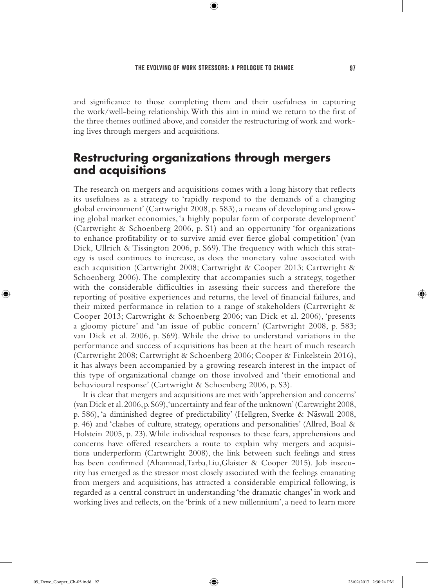⊕

and significance to those completing them and their usefulness in capturing the work/well-being relationship. With this aim in mind we return to the first of the three themes outlined above, and consider the restructuring of work and working lives through mergers and acquisitions.

# **Restructuring organizations through mergers and acquisitions**

The research on mergers and acquisitions comes with a long history that reflects its usefulness as a strategy to 'rapidly respond to the demands of a changing global environment' (Cartwright 2008, p. 583), a means of developing and growing global market economies, 'a highly popular form of corporate development' (Cartwright & Schoenberg 2006, p. S1) and an opportunity 'for organizations to enhance profitability or to survive amid ever fierce global competition' (van Dick, Ullrich & Tissington 2006, p. S69). The frequency with which this strategy is used continues to increase, as does the monetary value associated with each acquisition (Cartwright 2008; Cartwright & Cooper 2013; Cartwright & Schoenberg 2006). The complexity that accompanies such a strategy, together with the considerable difficulties in assessing their success and therefore the reporting of positive experiences and returns, the level of financial failures, and their mixed performance in relation to a range of stakeholders (Cartwright & Cooper 2013; Cartwright & Schoenberg 2006; van Dick et al. 2006), 'presents a gloomy picture' and 'an issue of public concern' (Cartwright 2008, p. 583; van Dick et al. 2006, p. S69). While the drive to understand variations in the performance and success of acquisitions has been at the heart of much research (Cartwright 2008; Cartwright & Schoenberg 2006; Cooper & Finkelstein 2016), it has always been accompanied by a growing research interest in the impact of this type of organizational change on those involved and 'their emotional and behavioural response' (Cartwright & Schoenberg 2006, p. S3).

It is clear that mergers and acquisitions are met with 'apprehension and concerns' (van Dick et al. 2006, p. S69), 'uncertainty and fear of the unknown' (Cartwright 2008, p. 586), 'a diminished degree of predictability' (Hellgren, Sverke & Näswall 2008, p. 46) and 'clashes of culture, strategy, operations and personalities' (Allred, Boal & Holstein 2005, p. 23). While individual responses to these fears, apprehensions and concerns have offered researchers a route to explain why mergers and acquisitions underperform (Cartwright 2008), the link between such feelings and stress has been confirmed (Ahammad,Tarba,Liu,Glaister & Cooper 2015). Job insecurity has emerged as the stressor most closely associated with the feelings emanating from mergers and acquisitions, has attracted a considerable empirical following, is regarded as a central construct in understanding 'the dramatic changes' in work and working lives and reflects, on the 'brink of a new millennium', a need to learn more

♠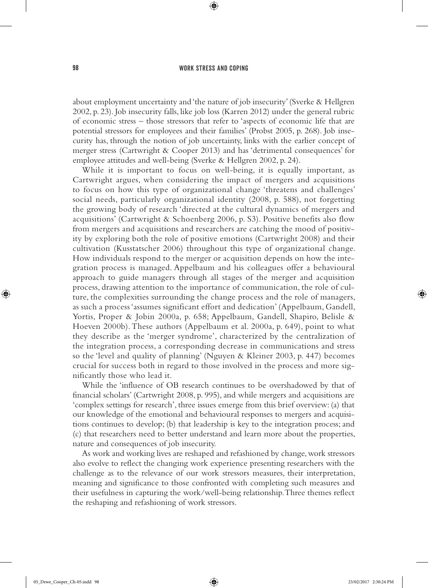⊕

about employment uncertainty and 'the nature of job insecurity' (Sverke & Hellgren 2002, p. 23). Job insecurity falls, like job loss (Karren 2012) under the general rubric of economic stress – those stressors that refer to 'aspects of economic life that are potential stressors for employees and their families' (Probst 2005, p. 268). Job insecurity has, through the notion of job uncertainty, links with the earlier concept of merger stress (Cartwright & Cooper 2013) and has 'detrimental consequences' for employee attitudes and well-being (Sverke & Hellgren 2002, p. 24).

While it is important to focus on well-being, it is equally important, as Cartwright argues, when considering the impact of mergers and acquisitions to focus on how this type of organizational change 'threatens and challenges' social needs, particularly organizational identity (2008, p. 588), not forgetting the growing body of research 'directed at the cultural dynamics of mergers and acquisitions' (Cartwright & Schoenberg 2006, p. S3). Positive benefits also flow from mergers and acquisitions and researchers are catching the mood of positivity by exploring both the role of positive emotions (Cartwright 2008) and their cultivation (Kusstatscher 2006) throughout this type of organizational change. How individuals respond to the merger or acquisition depends on how the integration process is managed. Appelbaum and his colleagues offer a behavioural approach to guide managers through all stages of the merger and acquisition process, drawing attention to the importance of communication, the role of culture, the complexities surrounding the change process and the role of managers, as such a process 'assumes significant effort and dedication' (Appelbaum, Gandell, Yortis, Proper & Jobin 2000a, p. 658; Appelbaum, Gandell, Shapiro, Belisle & Hoeven 2000b). These authors (Appelbaum et al. 2000a, p. 649), point to what they describe as the 'merger syndrome', characterized by the centralization of the integration process, a corresponding decrease in communications and stress so the 'level and quality of planning' (Nguyen & Kleiner 2003, p. 447) becomes crucial for success both in regard to those involved in the process and more significantly those who lead it.

While the 'influence of OB research continues to be overshadowed by that of financial scholars' (Cartwright 2008, p. 995), and while mergers and acquisitions are 'complex settings for research', three issues emerge from this brief overview: (a) that our knowledge of the emotional and behavioural responses to mergers and acquisitions continues to develop; (b) that leadership is key to the integration process; and (c) that researchers need to better understand and learn more about the properties, nature and consequences of job insecurity.

As work and working lives are reshaped and refashioned by change, work stressors also evolve to reflect the changing work experience presenting researchers with the challenge as to the relevance of our work stressors measures, their interpretation, meaning and significance to those confronted with completing such measures and their usefulness in capturing the work/well-being relationship. Three themes reflect the reshaping and refashioning of work stressors.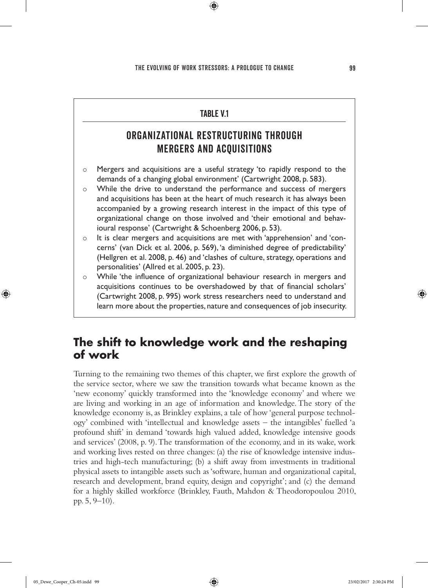$\bigoplus$ 

# **TARIF V1** ORGANIZATIONAL RESTRUCTURING THROUGH MERGERS AND ACQUISITIONS  $\circ$  Mergers and acquisitions are a useful strategy 'to rapidly respond to the demands of a changing global environment' (Cartwright 2008, p. 583). o While the drive to understand the performance and success of mergers and acquisitions has been at the heart of much research it has always been accompanied by a growing research interest in the impact of this type of organizational change on those involved and 'their emotional and behavioural response' (Cartwright & Schoenberg 2006, p. 53). { It is clear mergers and acquisitions are met with 'apprehension' and 'concerns' (van Dick et al. 2006, p. 569), 'a diminished degree of predictability' (Hellgren et al. 2008, p. 46) and 'clashes of culture, strategy, operations and personalities' (Allred et al. 2005, p. 23).  $\circ$  While 'the influence of organizational behaviour research in mergers and acquisitions continues to be overshadowed by that of financial scholars' (Cartwright 2008, p. 995) work stress researchers need to understand and learn more about the properties, nature and consequences of job insecurity.

# **The shift to knowledge work and the reshaping of work**

Turning to the remaining two themes of this chapter, we first explore the growth of the service sector, where we saw the transition towards what became known as the 'new economy' quickly transformed into the 'knowledge economy' and where we are living and working in an age of information and knowledge. The story of the knowledge economy is, as Brinkley explains, a tale of how 'general purpose technology' combined with 'intellectual and knowledge assets – the intangibles' fuelled 'a profound shift' in demand 'towards high valued added, knowledge intensive goods and services' (2008, p. 9). The transformation of the economy, and in its wake, work and working lives rested on three changes: (a) the rise of knowledge intensive industries and high-tech manufacturing; (b) a shift away from investments in traditional physical assets to intangible assets such as 'software, human and organizational capital, research and development, brand equity, design and copyright'; and (c) the demand for a highly skilled workforce (Brinkley, Fauth, Mahdon & Theodoropoulou 2010, pp. 5, 9–10).

♠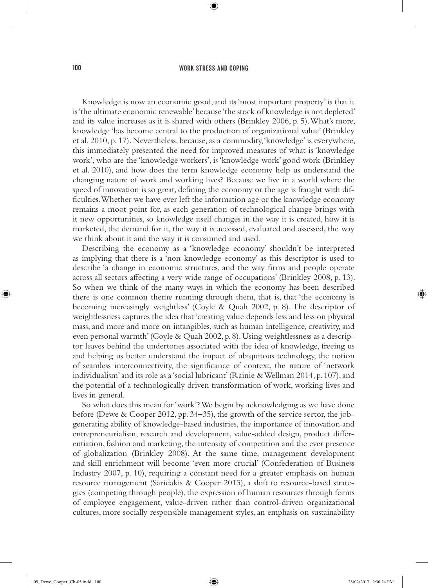⊕

Knowledge is now an economic good, and its 'most important property' is that it is 'the ultimate economic renewable' because 'the stock of knowledge is not depleted' and its value increases as it is shared with others (Brinkley 2006, p. 5). What's more, knowledge 'has become central to the production of organizational value' (Brinkley et al. 2010, p. 17). Nevertheless, because, as a commodity, 'knowledge' is everywhere, this immediately presented the need for improved measures of what is 'knowledge work', who are the 'knowledge workers', is 'knowledge work' good work (Brinkley et al. 2010), and how does the term knowledge economy help us understand the changing nature of work and working lives? Because we live in a world where the speed of innovation is so great, defining the economy or the age is fraught with difficulties. Whether we have ever left the information age or the knowledge economy remains a moot point for, as each generation of technological change brings with it new opportunities, so knowledge itself changes in the way it is created, how it is marketed, the demand for it, the way it is accessed, evaluated and assessed, the way we think about it and the way it is consumed and used.

Describing the economy as a 'knowledge economy' shouldn't be interpreted as implying that there is a 'non-knowledge economy' as this descriptor is used to describe 'a change in economic structures, and the way firms and people operate across all sectors affecting a very wide range of occupations' (Brinkley 2008, p. 13). So when we think of the many ways in which the economy has been described there is one common theme running through them, that is, that 'the economy is becoming increasingly weightless' (Coyle & Quah 2002, p. 8). The descriptor of weightlessness captures the idea that 'creating value depends less and less on physical mass, and more and more on intangibles, such as human intelligence, creativity, and even personal warmth' (Coyle & Quah 2002, p. 8). Using weightlessness as a descriptor leaves behind the undertones associated with the idea of knowledge, freeing us and helping us better understand the impact of ubiquitous technology, the notion of seamless interconnectivity, the significance of context, the nature of 'network individualism' and its role as a 'social lubricant' (Rainie & Wellman 2014, p. 107), and the potential of a technologically driven transformation of work, working lives and lives in general.

So what does this mean for 'work'? We begin by acknowledging as we have done before (Dewe & Cooper 2012, pp. 34–35), the growth of the service sector, the jobgenerating ability of knowledge-based industries, the importance of innovation and entrepreneurialism, research and development, value-added design, product differentiation, fashion and marketing, the intensity of competition and the ever presence of globalization (Brinkley 2008). At the same time, management development and skill enrichment will become 'even more crucial' (Confederation of Business Industry 2007, p. 10), requiring a constant need for a greater emphasis on human resource management (Saridakis & Cooper 2013), a shift to resource-based strategies (competing through people), the expression of human resources through forms of employee engagement, value-driven rather than control-driven organizational cultures, more socially responsible management styles, an emphasis on sustainability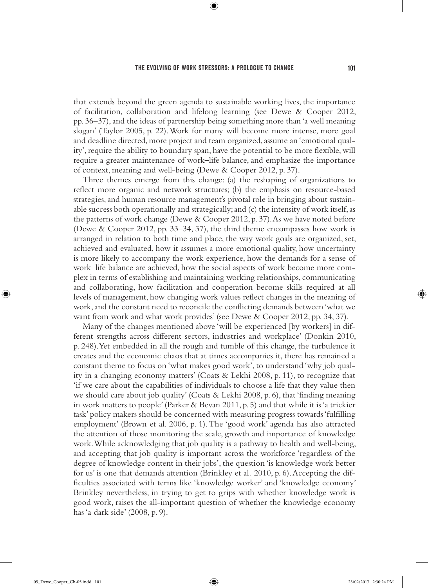⊕

that extends beyond the green agenda to sustainable working lives, the importance of facilitation, collaboration and lifelong learning (see Dewe & Cooper 2012, pp. 36–37), and the ideas of partnership being something more than 'a well meaning slogan' (Taylor 2005, p. 22). Work for many will become more intense, more goal and deadline directed, more project and team organized, assume an 'emotional quality', require the ability to boundary span, have the potential to be more flexible, will require a greater maintenance of work–life balance, and emphasize the importance of context, meaning and well-being (Dewe & Cooper 2012, p. 37).

Three themes emerge from this change: (a) the reshaping of organizations to reflect more organic and network structures; (b) the emphasis on resource-based strategies, and human resource management's pivotal role in bringing about sustainable success both operationally and strategically; and (c) the intensity of work itself, as the patterns of work change (Dewe & Cooper 2012, p. 37). As we have noted before (Dewe & Cooper 2012, pp. 33–34, 37), the third theme encompasses how work is arranged in relation to both time and place, the way work goals are organized, set, achieved and evaluated, how it assumes a more emotional quality, how uncertainty is more likely to accompany the work experience, how the demands for a sense of work–life balance are achieved, how the social aspects of work become more complex in terms of establishing and maintaining working relationships, communicating and collaborating, how facilitation and cooperation become skills required at all levels of management, how changing work values reflect changes in the meaning of work, and the constant need to reconcile the conflicting demands between 'what we want from work and what work provides' (see Dewe & Cooper 2012, pp. 34, 37).

Many of the changes mentioned above 'will be experienced [by workers] in different strengths across different sectors, industries and workplace' (Donkin 2010, p. 248). Yet embedded in all the rough and tumble of this change, the turbulence it creates and the economic chaos that at times accompanies it, there has remained a constant theme to focus on 'what makes good work', to understand 'why job quality in a changing economy matters' (Coats & Lekhi 2008, p. 11), to recognize that 'if we care about the capabilities of individuals to choose a life that they value then we should care about job quality' (Coats & Lekhi 2008, p. 6), that 'finding meaning in work matters to people' (Parker & Bevan 2011, p. 5) and that while it is 'a trickier task' policy makers should be concerned with measuring progress towards 'fulfilling employment' (Brown et al. 2006, p. 1). The 'good work' agenda has also attracted the attention of those monitoring the scale, growth and importance of knowledge work. While acknowledging that job quality is a pathway to health and well-being, and accepting that job quality is important across the workforce 'regardless of the degree of knowledge content in their jobs', the question 'is knowledge work better for us' is one that demands attention (Brinkley et al*.* 2010, p. 6). Accepting the difficulties associated with terms like 'knowledge worker' and 'knowledge economy' Brinkley nevertheless, in trying to get to grips with whether knowledge work is good work, raises the all-important question of whether the knowledge economy has 'a dark side' (2008, p. 9).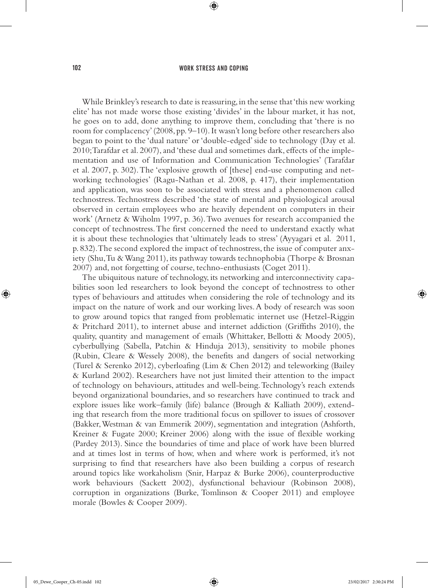⊕

While Brinkley's research to date is reassuring, in the sense that 'this new working elite' has not made worse those existing 'divides' in the labour market, it has not, he goes on to add, done anything to improve them, concluding that 'there is no room for complacency' (2008, pp. 9–10). It wasn't long before other researchers also began to point to the 'dual nature' or 'double-edged' side to technology (Day et al. 2010; Tarafdar et al. 2007), and 'these dual and sometimes dark, effects of the implementation and use of Information and Communication Technologies' (Tarafdar et al. 2007, p. 302). The 'explosive growth of [these] end-use computing and networking technologies' (Ragu-Nathan et al. 2008, p. 417), their implementation and application, was soon to be associated with stress and a phenomenon called technostress. Technostress described 'the state of mental and physiological arousal observed in certain employees who are heavily dependent on computers in their work' (Arnetz & Wiholm 1997, p. 36). Two avenues for research accompanied the concept of technostress. The first concerned the need to understand exactly what it is about these technologies that 'ultimately leads to stress' (Ayyagari et al. 2011, p. 832). The second explored the impact of technostress, the issue of computer anxiety (Shu, Tu & Wang 2011), its pathway towards technophobia (Thorpe & Brosnan 2007) and, not forgetting of course, techno-enthusiasts (Coget 2011).

The ubiquitous nature of technology, its networking and interconnectivity capabilities soon led researchers to look beyond the concept of technostress to other types of behaviours and attitudes when considering the role of technology and its impact on the nature of work and our working lives. A body of research was soon to grow around topics that ranged from problematic internet use (Hetzel-Riggin & Pritchard 2011), to internet abuse and internet addiction (Griffiths 2010), the quality, quantity and management of emails (Whittaker, Bellotti & Moody 2005), cyberbullying (Sabella, Patchin & Hinduja 2013), sensitivity to mobile phones (Rubin, Cleare & Wessely 2008), the benefits and dangers of social networking (Turel & Serenko 2012), cyberloafing (Lim & Chen 2012) and teleworking (Bailey & Kurland 2002). Researchers have not just limited their attention to the impact of technology on behaviours, attitudes and well-being. Technology's reach extends beyond organizational boundaries, and so researchers have continued to track and explore issues like work–family (life) balance (Brough & Kalliath 2009), extending that research from the more traditional focus on spillover to issues of crossover (Bakker, Westman & van Emmerik 2009), segmentation and integration (Ashforth, Kreiner & Fugate 2000; Kreiner 2006) along with the issue of flexible working (Pardey 2013). Since the boundaries of time and place of work have been blurred and at times lost in terms of how, when and where work is performed, it's not surprising to find that researchers have also been building a corpus of research around topics like workaholism (Snir, Harpaz & Burke 2006), counterproductive work behaviours (Sackett 2002), dysfunctional behaviour (Robinson 2008), corruption in organizations (Burke, Tomlinson & Cooper 2011) and employee morale (Bowles & Cooper 2009).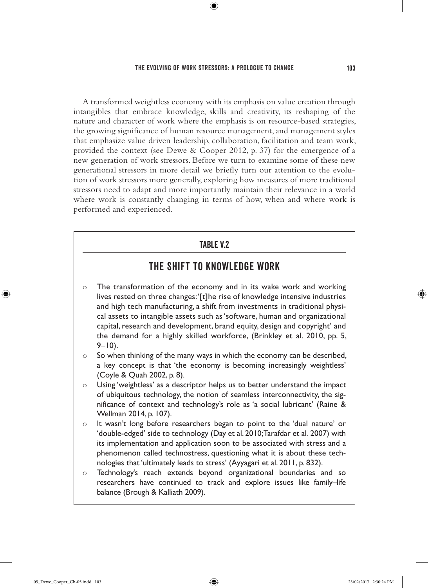## The evolving of work stressors: A prologue to change 103

 $\textcircled{\scriptsize{*}}$ 

A transformed weightless economy with its emphasis on value creation through intangibles that embrace knowledge, skills and creativity, its reshaping of the nature and character of work where the emphasis is on resource-based strategies, the growing significance of human resource management, and management styles that emphasize value driven leadership, collaboration, facilitation and team work, provided the context (see Dewe & Cooper 2012, p. 37) for the emergence of a new generation of work stressors. Before we turn to examine some of these new generational stressors in more detail we briefly turn our attention to the evolution of work stressors more generally, exploring how measures of more traditional stressors need to adapt and more importantly maintain their relevance in a world where work is constantly changing in terms of how, when and where work is performed and experienced.

## Table V.2

## THE SHIFT TO KNOWLEDGE WORK

- o The transformation of the economy and in its wake work and working lives rested on three changes: '[t]he rise of knowledge intensive industries and high tech manufacturing, a shift from investments in traditional physical assets to intangible assets such as 'software, human and organizational capital, research and development, brand equity, design and copyright' and the demand for a highly skilled workforce, (Brinkley et al. 2010, pp. 5,  $9 - 10$ ).
- $\circ$  So when thinking of the many ways in which the economy can be described, a key concept is that 'the economy is becoming increasingly weightless' (Coyle & Quah 2002, p. 8).
- $\circ$  Using 'weightless' as a descriptor helps us to better understand the impact of ubiquitous technology, the notion of seamless interconnectivity, the significance of context and technology's role as 'a social lubricant' (Raine & Wellman 2014, p. 107).
- { It wasn't long before researchers began to point to the 'dual nature' or 'double-edged' side to technology (Day et al. 2010; Tarafdar et al*.* 2007) with its implementation and application soon to be associated with stress and a phenomenon called technostress, questioning what it is about these technologies that 'ultimately leads to stress' (Ayyagari et al. 2011, p. 832).
- o Technology's reach extends beyond organizational boundaries and so researchers have continued to track and explore issues like family–life balance (Brough & Kalliath 2009).

♠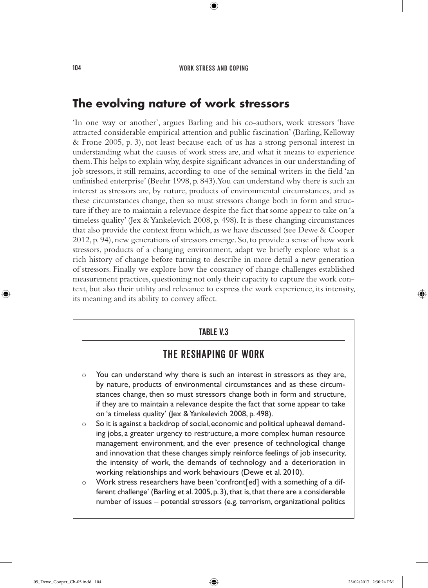⊕

# **The evolving nature of work stressors**

'In one way or another', argues Barling and his co-authors, work stressors 'have attracted considerable empirical attention and public fascination' (Barling, Kelloway & Frone 2005, p. 3), not least because each of us has a strong personal interest in understanding what the causes of work stress are, and what it means to experience them. This helps to explain why, despite significant advances in our understanding of job stressors, it still remains, according to one of the seminal writers in the field 'an unfinished enterprise' (Beehr 1998, p. 843). You can understand why there is such an interest as stressors are, by nature, products of environmental circumstances, and as these circumstances change, then so must stressors change both in form and structure if they are to maintain a relevance despite the fact that some appear to take on 'a timeless quality' (Jex & Yankelevich 2008, p. 498). It is these changing circumstances that also provide the context from which, as we have discussed (see Dewe & Cooper 2012, p. 94), new generations of stressors emerge. So, to provide a sense of how work stressors, products of a changing environment, adapt we briefly explore what is a rich history of change before turning to describe in more detail a new generation of stressors. Finally we explore how the constancy of change challenges established measurement practices, questioning not only their capacity to capture the work context, but also their utility and relevance to express the work experience, its intensity, its meaning and its ability to convey affect.

## Table V.3

## THE RESHAPING OF WORK

- $\circ$  You can understand why there is such an interest in stressors as they are, by nature, products of environmental circumstances and as these circumstances change, then so must stressors change both in form and structure, if they are to maintain a relevance despite the fact that some appear to take on 'a timeless quality' (Jex & Yankelevich 2008, p. 498).
- ${\circ}$  So it is against a backdrop of social, economic and political upheaval demanding jobs, a greater urgency to restructure, a more complex human resource management environment, and the ever presence of technological change and innovation that these changes simply reinforce feelings of job insecurity, the intensity of work, the demands of technology and a deterioration in working relationships and work behaviours (Dewe et al. 2010).
- { Work stress researchers have been 'confront[ed] with a something of a different challenge' (Barling et al. 2005, p. 3), that is, that there are a considerable number of issues – potential stressors (e.g. terrorism, organizational politics

♠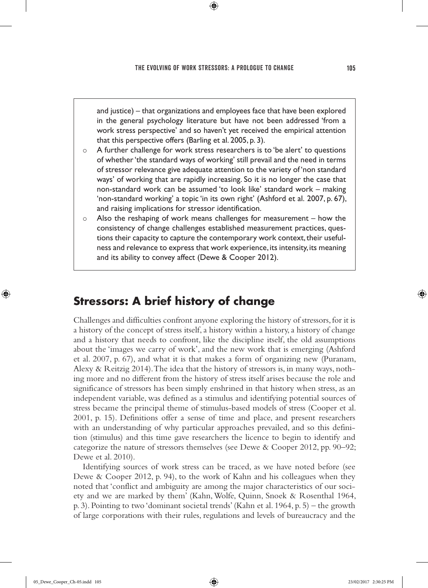⊕

and justice) – that organizations and employees face that have been explored in the general psychology literature but have not been addressed 'from a work stress perspective' and so haven't yet received the empirical attention that this perspective offers (Barling et al. 2005, p. 3).

- $\circ$  A further challenge for work stress researchers is to 'be alert' to questions of whether 'the standard ways of working' still prevail and the need in terms of stressor relevance give adequate attention to the variety of 'non standard ways' of working that are rapidly increasing. So it is no longer the case that non-standard work can be assumed 'to look like' standard work – making 'non-standard working' a topic 'in its own right' (Ashford et al. 2007, p. 67), and raising implications for stressor identification.
- $\circ$  Also the reshaping of work means challenges for measurement how the consistency of change challenges established measurement practices, questions their capacity to capture the contemporary work context, their usefulness and relevance to express that work experience, its intensity, its meaning and its ability to convey affect (Dewe & Cooper 2012).

# **Stressors: A brief history of change**

Challenges and difficulties confront anyone exploring the history of stressors, for it is a history of the concept of stress itself, a history within a history, a history of change and a history that needs to confront, like the discipline itself, the old assumptions about the 'images we carry of work', and the new work that is emerging (Ashford et al. 2007, p. 67), and what it is that makes a form of organizing new (Puranam, Alexy & Reitzig 2014). The idea that the history of stressors is, in many ways, nothing more and no different from the history of stress itself arises because the role and significance of stressors has been simply enshrined in that history when stress, as an independent variable, was defined as a stimulus and identifying potential sources of stress became the principal theme of stimulus-based models of stress (Cooper et al. 2001, p. 15). Definitions offer a sense of time and place, and present researchers with an understanding of why particular approaches prevailed, and so this definition (stimulus) and this time gave researchers the licence to begin to identify and categorize the nature of stressors themselves (see Dewe & Cooper 2012, pp. 90–92; Dewe et al. 2010).

Identifying sources of work stress can be traced, as we have noted before (see Dewe & Cooper 2012, p. 94), to the work of Kahn and his colleagues when they noted that 'conflict and ambiguity are among the major characteristics of our society and we are marked by them' (Kahn, Wolfe, Quinn, Snoek & Rosenthal 1964, p. 3). Pointing to two 'dominant societal trends' (Kahn et al. 1964, p. 5) – the growth of large corporations with their rules, regulations and levels of bureaucracy and the

♠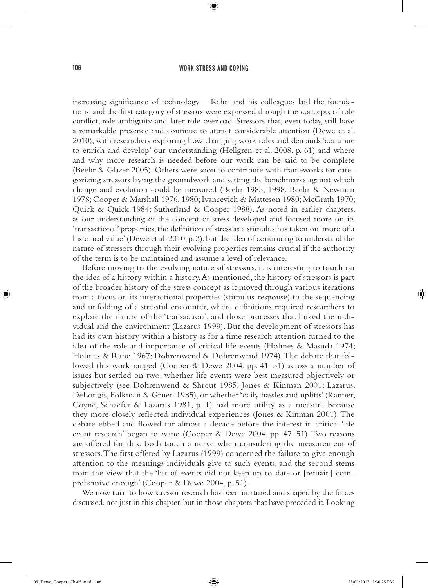⊕

increasing significance of technology – Kahn and his colleagues laid the foundations, and the first category of stressors were expressed through the concepts of role conflict, role ambiguity and later role overload. Stressors that, even today, still have a remarkable presence and continue to attract considerable attention (Dewe et al. 2010), with researchers exploring how changing work roles and demands 'continue to enrich and develop' our understanding (Hellgren et al. 2008, p. 61) and where and why more research is needed before our work can be said to be complete (Beehr & Glazer 2005). Others were soon to contribute with frameworks for categorizing stressors laying the groundwork and setting the benchmarks against which change and evolution could be measured (Beehr 1985, 1998; Beehr & Newman 1978; Cooper & Marshall 1976, 1980; Ivancevich & Matteson 1980; McGrath 1970; Quick & Quick 1984; Sutherland & Cooper 1988). As noted in earlier chapters, as our understanding of the concept of stress developed and focused more on its 'transactional' properties, the definition of stress as a stimulus has taken on 'more of a historical value' (Dewe et al. 2010, p. 3), but the idea of continuing to understand the nature of stressors through their evolving properties remains crucial if the authority of the term is to be maintained and assume a level of relevance.

Before moving to the evolving nature of stressors, it is interesting to touch on the idea of a history within a history. As mentioned, the history of stressors is part of the broader history of the stress concept as it moved through various iterations from a focus on its interactional properties (stimulus-response) to the sequencing and unfolding of a stressful encounter, where definitions required researchers to explore the nature of the 'transaction', and those processes that linked the individual and the environment (Lazarus 1999). But the development of stressors has had its own history within a history as for a time research attention turned to the idea of the role and importance of critical life events (Holmes & Masuda 1974; Holmes & Rahe 1967; Dohrenwend & Dohrenwend 1974). The debate that followed this work ranged (Cooper & Dewe 2004, pp. 41–51) across a number of issues but settled on two: whether life events were best measured objectively or subjectively (see Dohrenwend & Shrout 1985; Jones & Kinman 2001; Lazarus, DeLongis, Folkman & Gruen 1985), or whether 'daily hassles and uplifts' (Kanner, Coyne, Schaefer & Lazarus 1981, p. 1) had more utility as a measure because they more closely reflected individual experiences (Jones & Kinman 2001). The debate ebbed and flowed for almost a decade before the interest in critical 'life event research' began to wane (Cooper & Dewe 2004, pp. 47–51). Two reasons are offered for this. Both touch a nerve when considering the measurement of stressors. The first offered by Lazarus (1999) concerned the failure to give enough attention to the meanings individuals give to such events, and the second stems from the view that the 'list of events did not keep up-to-date or [remain] comprehensive enough' (Cooper & Dewe 2004, p. 51).

We now turn to how stressor research has been nurtured and shaped by the forces discussed, not just in this chapter, but in those chapters that have preceded it. Looking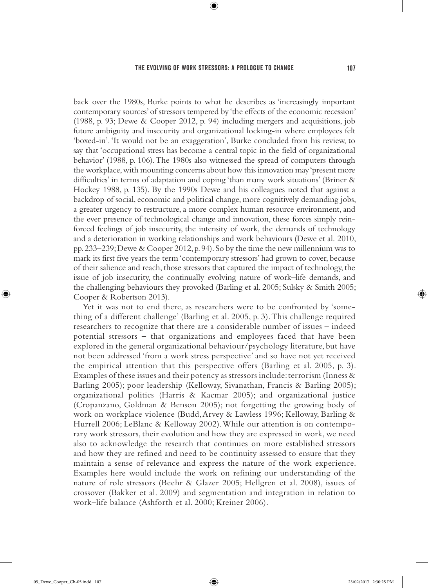⊕

back over the 1980s, Burke points to what he describes as 'increasingly important contemporary sources' of stressors tempered by 'the effects of the economic recession' (1988, p. 93; Dewe & Cooper 2012, p. 94) including mergers and acquisitions, job future ambiguity and insecurity and organizational locking-in where employees felt 'boxed-in'. 'It would not be an exaggeration', Burke concluded from his review, to say that 'occupational stress has become a central topic in the field of organizational behavior' (1988, p. 106). The 1980s also witnessed the spread of computers through the workplace, with mounting concerns about how this innovation may 'present more difficulties' in terms of adaptation and coping 'than many work situations' (Briner & Hockey 1988, p. 135). By the 1990s Dewe and his colleagues noted that against a backdrop of social, economic and political change, more cognitively demanding jobs, a greater urgency to restructure, a more complex human resource environment, and the ever presence of technological change and innovation, these forces simply reinforced feelings of job insecurity, the intensity of work, the demands of technology and a deterioration in working relationships and work behaviours (Dewe et al. 2010, pp. 233–239; Dewe & Cooper 2012, p. 94). So by the time the new millennium was to mark its first five years the term 'contemporary stressors' had grown to cover, because of their salience and reach, those stressors that captured the impact of technology, the issue of job insecurity, the continually evolving nature of work–life demands, and the challenging behaviours they provoked (Barling et al. 2005; Sulsky & Smith 2005; Cooper & Robertson 2013).

Yet it was not to end there, as researchers were to be confronted by 'something of a different challenge' (Barling et al. 2005, p. 3). This challenge required researchers to recognize that there are a considerable number of issues – indeed potential stressors – that organizations and employees faced that have been explored in the general organizational behaviour/psychology literature, but have not been addressed 'from a work stress perspective' and so have not yet received the empirical attention that this perspective offers (Barling et al. 2005, p. 3). Examples of these issues and their potency as stressors include: terrorism (Inness & Barling 2005); poor leadership (Kelloway, Sivanathan, Francis & Barling 2005); organizational politics (Harris & Kacmar 2005); and organizational justice (Cropanzano, Goldman & Benson 2005); not forgetting the growing body of work on workplace violence (Budd, Arvey & Lawless 1996; Kelloway, Barling & Hurrell 2006; LeBlanc & Kelloway 2002). While our attention is on contemporary work stressors, their evolution and how they are expressed in work, we need also to acknowledge the research that continues on more established stressors and how they are refined and need to be continuity assessed to ensure that they maintain a sense of relevance and express the nature of the work experience. Examples here would include the work on refining our understanding of the nature of role stressors (Beehr & Glazer 2005; Hellgren et al. 2008), issues of crossover (Bakker et al. 2009) and segmentation and integration in relation to work–life balance (Ashforth et al. 2000; Kreiner 2006).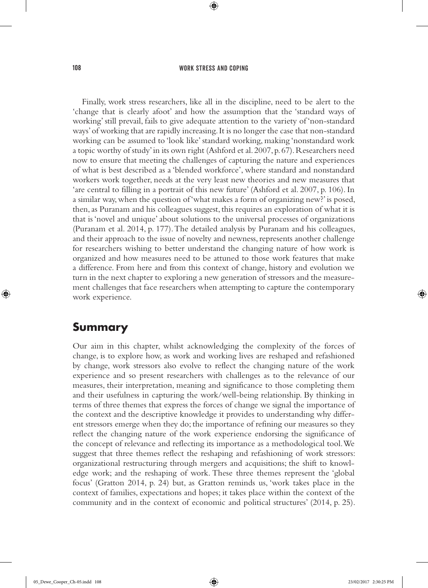⊕

Finally, work stress researchers, like all in the discipline, need to be alert to the 'change that is clearly afoot' and how the assumption that the 'standard ways of working' still prevail, fails to give adequate attention to the variety of 'non-standard ways' of working that are rapidly increasing. It is no longer the case that non-standard working can be assumed to 'look like' standard working, making 'nonstandard work a topic worthy of study' in its own right (Ashford et al. 2007, p. 67). Researchers need now to ensure that meeting the challenges of capturing the nature and experiences of what is best described as a 'blended workforce', where standard and nonstandard workers work together, needs at the very least new theories and new measures that 'are central to filling in a portrait of this new future' (Ashford et al. 2007, p. 106). In a similar way, when the question of 'what makes a form of organizing new?' is posed, then, as Puranam and his colleagues suggest, this requires an exploration of what it is that is 'novel and unique' about solutions to the universal processes of organizations (Puranam et al. 2014, p. 177). The detailed analysis by Puranam and his colleagues, and their approach to the issue of novelty and newness, represents another challenge for researchers wishing to better understand the changing nature of how work is organized and how measures need to be attuned to those work features that make a difference. From here and from this context of change, history and evolution we turn in the next chapter to exploring a new generation of stressors and the measurement challenges that face researchers when attempting to capture the contemporary work experience.

## **Summary**

♠

Our aim in this chapter, whilst acknowledging the complexity of the forces of change, is to explore how, as work and working lives are reshaped and refashioned by change, work stressors also evolve to reflect the changing nature of the work experience and so present researchers with challenges as to the relevance of our measures, their interpretation, meaning and significance to those completing them and their usefulness in capturing the work/well-being relationship. By thinking in terms of three themes that express the forces of change we signal the importance of the context and the descriptive knowledge it provides to understanding why different stressors emerge when they do; the importance of refining our measures so they reflect the changing nature of the work experience endorsing the significance of the concept of relevance and reflecting its importance as a methodological tool. We suggest that three themes reflect the reshaping and refashioning of work stressors: organizational restructuring through mergers and acquisitions; the shift to knowledge work; and the reshaping of work. These three themes represent the 'global focus' (Gratton 2014, p. 24) but, as Gratton reminds us, 'work takes place in the context of families, expectations and hopes; it takes place within the context of the community and in the context of economic and political structures' (2014, p. 25).